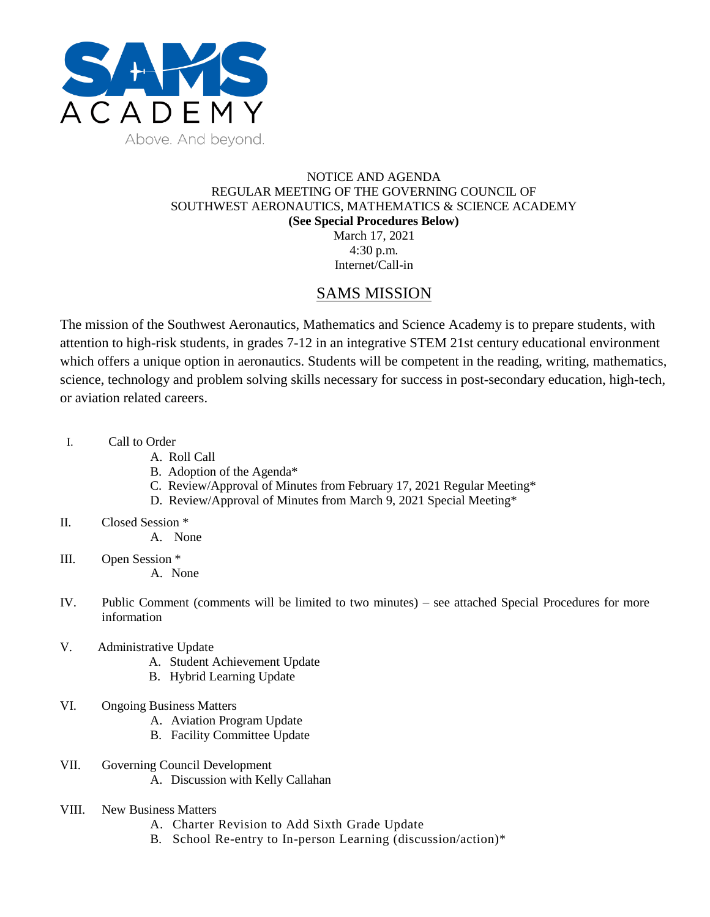

### NOTICE AND AGENDA REGULAR MEETING OF THE GOVERNING COUNCIL OF SOUTHWEST AERONAUTICS, MATHEMATICS & SCIENCE ACADEMY **(See Special Procedures Below)** March 17, 2021

4:30 p.m. Internet/Call-in

## SAMS MISSION

The mission of the Southwest Aeronautics, Mathematics and Science Academy is to prepare students, with attention to high-risk students, in grades 7-12 in an integrative STEM 21st century educational environment which offers a unique option in aeronautics. Students will be competent in the reading, writing, mathematics, science, technology and problem solving skills necessary for success in post-secondary education, high-tech, or aviation related careers.

- I. Call to Order
	- A. Roll Call
	- B. Adoption of the Agenda\*
	- C. Review/Approval of Minutes from February 17, 2021 Regular Meeting\*
	- D. Review/Approval of Minutes from March 9, 2021 Special Meeting\*
- II. Closed Session \*
	- A. None
- III. Open Session \*
	- A. None
- IV. Public Comment (comments will be limited to two minutes) see attached Special Procedures for more information
- V. Administrative Update
	- A. Student Achievement Update
	- B. Hybrid Learning Update
- VI. Ongoing Business Matters
	- A. Aviation Program Update
	- B. Facility Committee Update
- VII. Governing Council Development A. Discussion with Kelly Callahan
- VIII. New Business Matters
	- A. Charter Revision to Add Sixth Grade Update
	- B. School Re-entry to In-person Learning (discussion/action)\*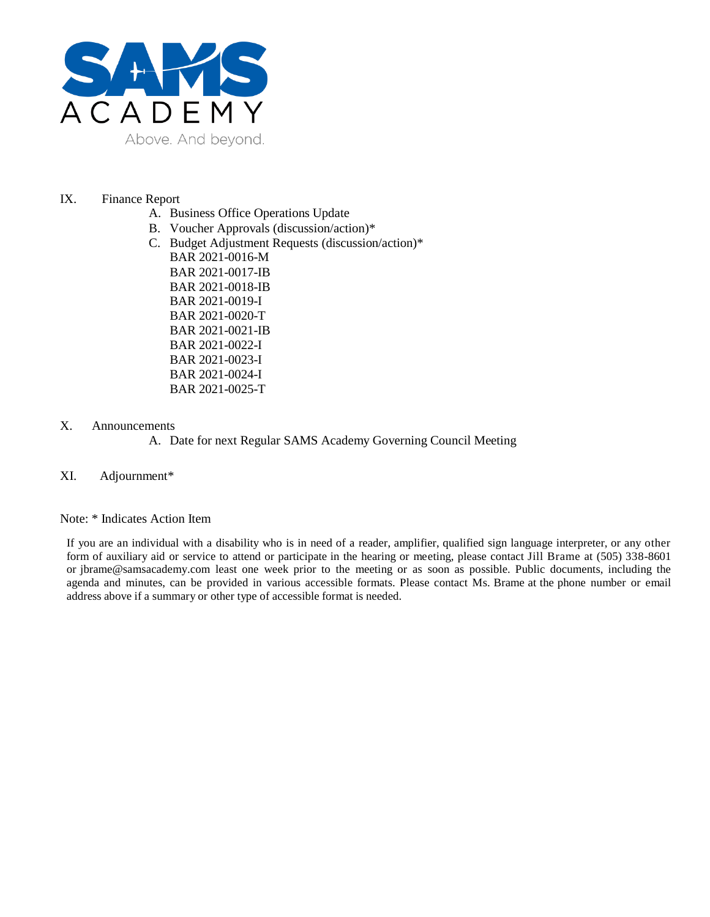

#### IX. Finance Report

- A. Business Office Operations Update
- B. Voucher Approvals (discussion/action)\*
- C. Budget Adjustment Requests (discussion/action)\*
- BAR 2021-0016-M BAR 2021-0017-IB BAR 2021-0018-IB BAR 2021-0019-I BAR 2021-0020-T BAR 2021-0021-IB BAR 2021-0022-I BAR 2021-0023-I BAR 2021-0024-I BAR 2021-0025-T

#### X. Announcements

#### A. Date for next Regular SAMS Academy Governing Council Meeting

#### XI. Adjournment\*

#### Note: \* Indicates Action Item

If you are an individual with a disability who is in need of a reader, amplifier, qualified sign language interpreter, or any other form of auxiliary aid or service to attend or participate in the hearing or meeting, please contact Jill Brame at (505) 338-8601 or jbrame@samsacademy.com least one week prior to the meeting or as soon as possible. Public documents, including the agenda and minutes, can be provided in various accessible formats. Please contact Ms. Brame at the phone number or email address above if a summary or other type of accessible format is needed.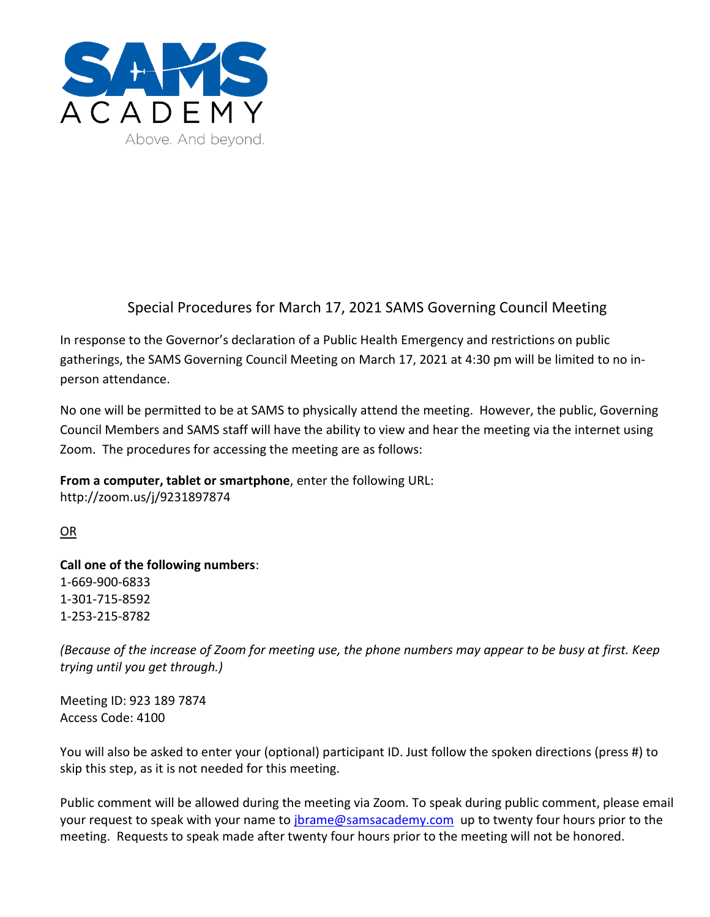

# Special Procedures for March 17, 2021 SAMS Governing Council Meeting

In response to the Governor's declaration of a Public Health Emergency and restrictions on public gatherings, the SAMS Governing Council Meeting on March 17, 2021 at 4:30 pm will be limited to no inperson attendance.

No one will be permitted to be at SAMS to physically attend the meeting. However, the public, Governing Council Members and SAMS staff will have the ability to view and hear the meeting via the internet using Zoom. The procedures for accessing the meeting are as follows:

**From a computer, tablet or smartphone**, enter the following URL: http://zoom.us/j/9231897874

OR

**Call one of the following numbers**: 1-669-900-6833 1-301-715-8592 1-253-215-8782

*(Because of the increase of Zoom for meeting use, the phone numbers may appear to be busy at first. Keep trying until you get through.)*

Meeting ID: 923 189 7874 Access Code: 4100

You will also be asked to enter your (optional) participant ID. Just follow the spoken directions (press #) to skip this step, as it is not needed for this meeting.

Public comment will be allowed during the meeting via Zoom. To speak during public comment, please email your request to speak with your name to *jbrame@samsacademy.com* up to twenty four hours prior to the meeting. Requests to speak made after twenty four hours prior to the meeting will not be honored.